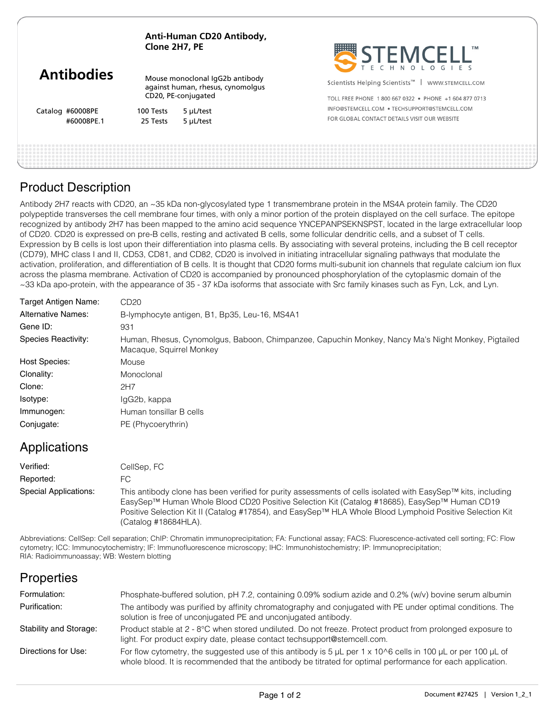| Anti-Human CD20 Antibody, |
|---------------------------|
| Clone 2H7, PE             |

|                   | -------------                                                                               |           | SPLEMCELL                                                      |
|-------------------|---------------------------------------------------------------------------------------------|-----------|----------------------------------------------------------------|
| <b>Antibodies</b> | Mouse monoclonal IgG2b antibody<br>against human, rhesus, cynomolgus<br>CD20, PE-conjugated |           | Scientists Helping Scientists <sup>™</sup><br>WWW.STEMCELL.COM |
|                   |                                                                                             |           | TOLL FREE PHONE 1 800 667 0322 · PHONE +1 604 877 0713         |
| Catalog #60008PE  | 100 Tests                                                                                   | 5 µL/test | INFO@STEMCELL.COM . TECHSUPPORT@STEMCELL.COM                   |
| #60008PE.1        | 25 Tests                                                                                    | 5 µL/test | FOR GLOBAL CONTACT DETAILS VISIT OUR WEBSITE                   |
|                   |                                                                                             |           |                                                                |

**HIIIIIII** 

## Product Description

Antibody 2H7 reacts with CD20, an ~35 kDa non-glycosylated type 1 transmembrane protein in the MS4A protein family. The CD20 polypeptide transverses the cell membrane four times, with only a minor portion of the protein displayed on the cell surface. The epitope recognized by antibody 2H7 has been mapped to the amino acid sequence YNCEPANPSEKNSPST, located in the large extracellular loop of CD20. CD20 is expressed on pre-B cells, resting and activated B cells, some follicular dendritic cells, and a subset of T cells. Expression by B cells is lost upon their differentiation into plasma cells. By associating with several proteins, including the B cell receptor (CD79), MHC class I and II, CD53, CD81, and CD82, CD20 is involved in initiating intracellular signaling pathways that modulate the activation, proliferation, and differentiation of B cells. It is thought that CD20 forms multi-subunit ion channels that regulate calcium ion flux across the plasma membrane. Activation of CD20 is accompanied by pronounced phosphorylation of the cytoplasmic domain of the ~33 kDa apo-protein, with the appearance of 35 - 37 kDa isoforms that associate with Src family kinases such as Fyn, Lck, and Lyn.

| Target Antigen Name:      | CD <sub>20</sub>                                                                                                               |  |  |  |
|---------------------------|--------------------------------------------------------------------------------------------------------------------------------|--|--|--|
| <b>Alternative Names:</b> | B-lymphocyte antigen, B1, Bp35, Leu-16, MS4A1                                                                                  |  |  |  |
| Gene ID:                  | 931                                                                                                                            |  |  |  |
| Species Reactivity:       | Human, Rhesus, Cynomolgus, Baboon, Chimpanzee, Capuchin Monkey, Nancy Ma's Night Monkey, Pigtailed<br>Macaque, Squirrel Monkey |  |  |  |
| <b>Host Species:</b>      | Mouse                                                                                                                          |  |  |  |
| Clonality:                | Monoclonal                                                                                                                     |  |  |  |
| Clone:                    | 2H7                                                                                                                            |  |  |  |
| Isotype:                  | IgG2b, kappa                                                                                                                   |  |  |  |
| Immunogen:                | Human tonsillar B cells                                                                                                        |  |  |  |
| Conjugate:                | PE (Phycoerythrin)                                                                                                             |  |  |  |

### Applications

| Verified:             | CellSep, FC                                                                                                                                                                                                                                                                                                                                      |
|-----------------------|--------------------------------------------------------------------------------------------------------------------------------------------------------------------------------------------------------------------------------------------------------------------------------------------------------------------------------------------------|
| Reported:             | FC.                                                                                                                                                                                                                                                                                                                                              |
| Special Applications: | This antibody clone has been verified for purity assessments of cells isolated with EasySep™ kits, including<br>EasySep™ Human Whole Blood CD20 Positive Selection Kit (Catalog #18685), EasySep™ Human CD19<br>Positive Selection Kit II (Catalog #17854), and EasySep™ HLA Whole Blood Lymphoid Positive Selection Kit<br>(Catalog #18684HLA). |

Abbreviations: CellSep: Cell separation; ChIP: Chromatin immunoprecipitation; FA: Functional assay; FACS: Fluorescence-activated cell sorting; FC: Flow cytometry; ICC: Immunocytochemistry; IF: Immunofluorescence microscopy; IHC: Immunohistochemistry; IP: Immunoprecipitation; RIA: Radioimmunoassay; WB: Western blotting

### **Properties**

| Formulation:           | Phosphate-buffered solution, pH 7.2, containing 0.09% sodium azide and 0.2% (w/v) bovine serum albumin                                                                                                                                            |
|------------------------|---------------------------------------------------------------------------------------------------------------------------------------------------------------------------------------------------------------------------------------------------|
| Purification:          | The antibody was purified by affinity chromatography and conjugated with PE under optimal conditions. The<br>solution is free of unconjugated PE and unconjugated antibody.                                                                       |
| Stability and Storage: | Product stable at 2 - 8°C when stored undiluted. Do not freeze. Protect product from prolonged exposure to<br>light. For product expiry date, please contact techsupport@stemcell.com.                                                            |
| Directions for Use:    | For flow cytometry, the suggested use of this antibody is 5 $\mu$ L per 1 x 10 $\circ$ 6 cells in 100 $\mu$ L or per 100 $\mu$ L of<br>whole blood. It is recommended that the antibody be titrated for optimal performance for each application. |